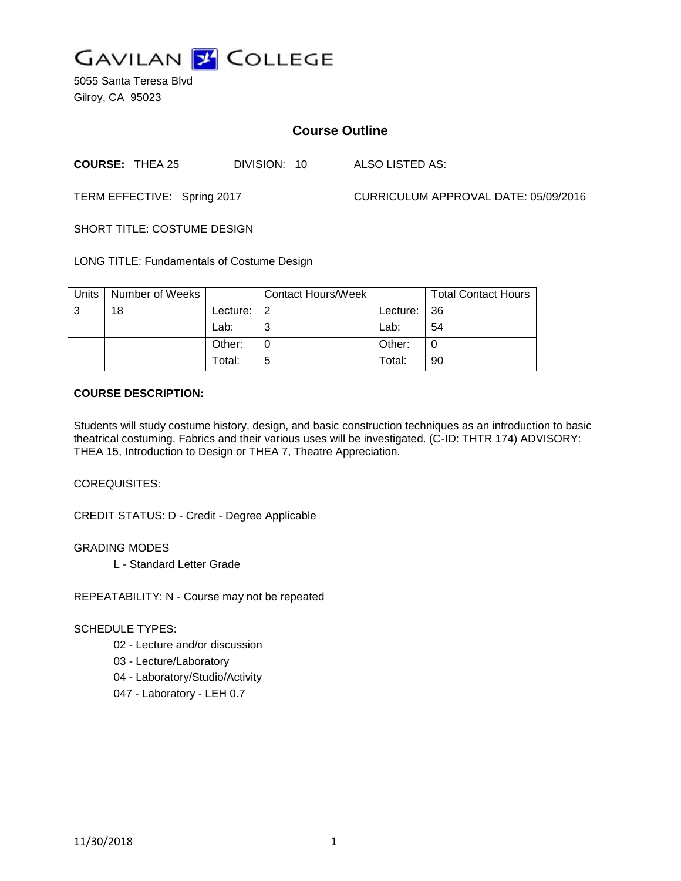

5055 Santa Teresa Blvd Gilroy, CA 95023

# **Course Outline**

**COURSE:** THEA 25 DIVISION: 10 ALSO LISTED AS:

TERM EFFECTIVE: Spring 2017 CURRICULUM APPROVAL DATE: 05/09/2016

SHORT TITLE: COSTUME DESIGN

LONG TITLE: Fundamentals of Costume Design

| Units | Number of Weeks |          | Contact Hours/Week |          | <b>Total Contact Hours</b> |
|-------|-----------------|----------|--------------------|----------|----------------------------|
| -3    | 18              | Lecture: | -2                 | Lecture: | $\overline{36}$            |
|       |                 | Lab:     | ⌒                  | Lab:     | 54                         |
|       |                 | Other:   |                    | Other:   | 0                          |
|       |                 | Total:   | 5                  | Total:   | 90                         |

#### **COURSE DESCRIPTION:**

Students will study costume history, design, and basic construction techniques as an introduction to basic theatrical costuming. Fabrics and their various uses will be investigated. (C-ID: THTR 174) ADVISORY: THEA 15, Introduction to Design or THEA 7, Theatre Appreciation.

COREQUISITES:

CREDIT STATUS: D - Credit - Degree Applicable

GRADING MODES

L - Standard Letter Grade

REPEATABILITY: N - Course may not be repeated

#### SCHEDULE TYPES:

- 02 Lecture and/or discussion
- 03 Lecture/Laboratory
- 04 Laboratory/Studio/Activity
- 047 Laboratory LEH 0.7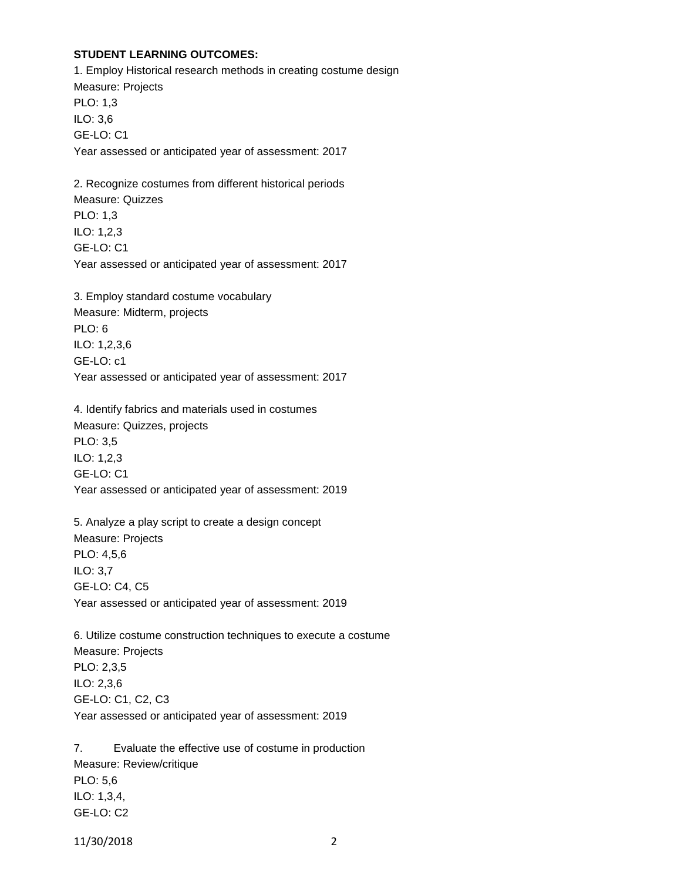### **STUDENT LEARNING OUTCOMES:**

1. Employ Historical research methods in creating costume design Measure: Projects PLO: 1,3 ILO: 3,6 GE-LO: C1 Year assessed or anticipated year of assessment: 2017

2. Recognize costumes from different historical periods Measure: Quizzes PLO: 1,3 ILO: 1,2,3 GE-LO: C1 Year assessed or anticipated year of assessment: 2017

3. Employ standard costume vocabulary Measure: Midterm, projects PLO: 6 ILO: 1,2,3,6 GE-LO: c1 Year assessed or anticipated year of assessment: 2017

4. Identify fabrics and materials used in costumes Measure: Quizzes, projects PLO: 3,5 ILO: 1,2,3 GE-LO: C1 Year assessed or anticipated year of assessment: 2019

5. Analyze a play script to create a design concept Measure: Projects PLO: 4,5,6 ILO: 3,7 GE-LO: C4, C5 Year assessed or anticipated year of assessment: 2019

6. Utilize costume construction techniques to execute a costume Measure: Projects PLO: 2,3,5 ILO: 2,3,6 GE-LO: C1, C2, C3 Year assessed or anticipated year of assessment: 2019

7. Evaluate the effective use of costume in production Measure: Review/critique PLO: 5,6 ILO: 1,3,4, GE-LO: C2

11/30/2018 2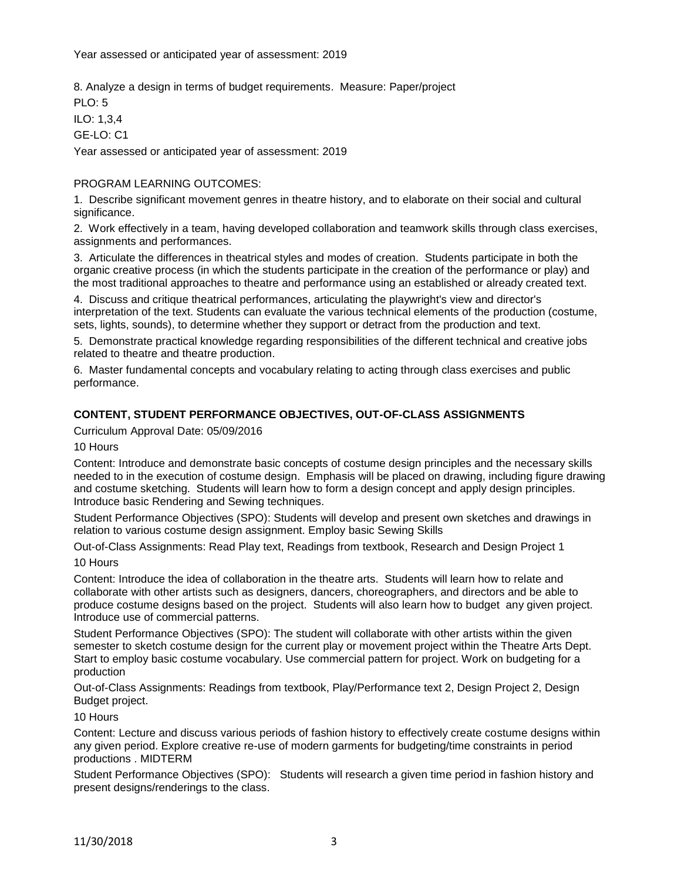8. Analyze a design in terms of budget requirements. Measure: Paper/project

PLO: 5

ILO: 1,3,4

GE-LO: C1

Year assessed or anticipated year of assessment: 2019

## PROGRAM LEARNING OUTCOMES:

1. Describe significant movement genres in theatre history, and to elaborate on their social and cultural significance.

2. Work effectively in a team, having developed collaboration and teamwork skills through class exercises, assignments and performances.

3. Articulate the differences in theatrical styles and modes of creation. Students participate in both the organic creative process (in which the students participate in the creation of the performance or play) and the most traditional approaches to theatre and performance using an established or already created text.

4. Discuss and critique theatrical performances, articulating the playwright's view and director's interpretation of the text. Students can evaluate the various technical elements of the production (costume, sets, lights, sounds), to determine whether they support or detract from the production and text.

5. Demonstrate practical knowledge regarding responsibilities of the different technical and creative jobs related to theatre and theatre production.

6. Master fundamental concepts and vocabulary relating to acting through class exercises and public performance.

### **CONTENT, STUDENT PERFORMANCE OBJECTIVES, OUT-OF-CLASS ASSIGNMENTS**

Curriculum Approval Date: 05/09/2016

10 Hours

Content: Introduce and demonstrate basic concepts of costume design principles and the necessary skills needed to in the execution of costume design. Emphasis will be placed on drawing, including figure drawing and costume sketching. Students will learn how to form a design concept and apply design principles. Introduce basic Rendering and Sewing techniques.

Student Performance Objectives (SPO): Students will develop and present own sketches and drawings in relation to various costume design assignment. Employ basic Sewing Skills

Out-of-Class Assignments: Read Play text, Readings from textbook, Research and Design Project 1 10 Hours

Content: Introduce the idea of collaboration in the theatre arts. Students will learn how to relate and collaborate with other artists such as designers, dancers, choreographers, and directors and be able to produce costume designs based on the project. Students will also learn how to budget any given project. Introduce use of commercial patterns.

Student Performance Objectives (SPO): The student will collaborate with other artists within the given semester to sketch costume design for the current play or movement project within the Theatre Arts Dept. Start to employ basic costume vocabulary. Use commercial pattern for project. Work on budgeting for a production

Out-of-Class Assignments: Readings from textbook, Play/Performance text 2, Design Project 2, Design Budget project.

#### 10 Hours

Content: Lecture and discuss various periods of fashion history to effectively create costume designs within any given period. Explore creative re-use of modern garments for budgeting/time constraints in period productions . MIDTERM

Student Performance Objectives (SPO): Students will research a given time period in fashion history and present designs/renderings to the class.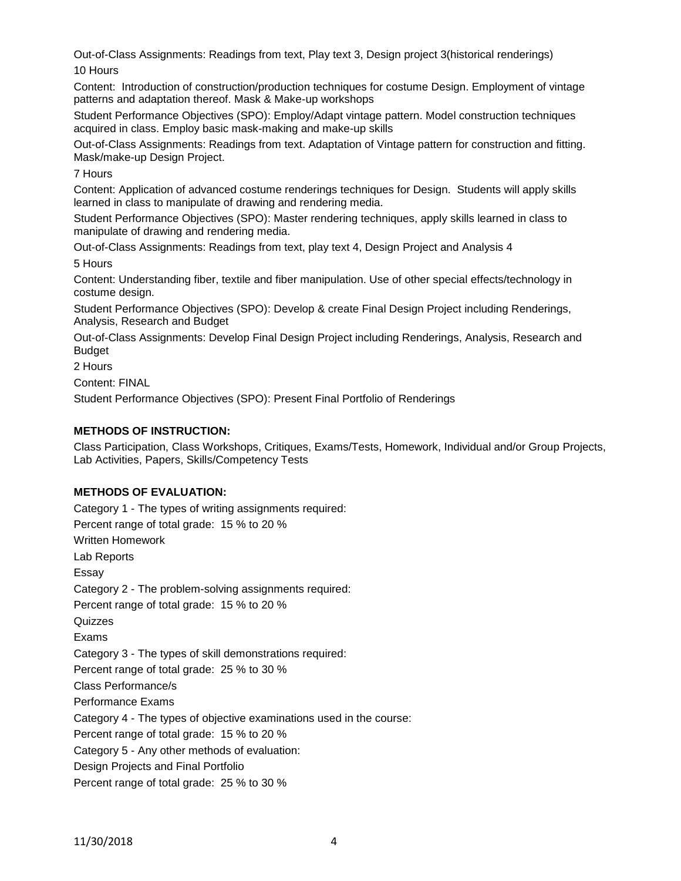Out-of-Class Assignments: Readings from text, Play text 3, Design project 3(historical renderings) 10 Hours

Content: Introduction of construction/production techniques for costume Design. Employment of vintage patterns and adaptation thereof. Mask & Make-up workshops

Student Performance Objectives (SPO): Employ/Adapt vintage pattern. Model construction techniques acquired in class. Employ basic mask-making and make-up skills

Out-of-Class Assignments: Readings from text. Adaptation of Vintage pattern for construction and fitting. Mask/make-up Design Project.

7 Hours

Content: Application of advanced costume renderings techniques for Design. Students will apply skills learned in class to manipulate of drawing and rendering media.

Student Performance Objectives (SPO): Master rendering techniques, apply skills learned in class to manipulate of drawing and rendering media.

Out-of-Class Assignments: Readings from text, play text 4, Design Project and Analysis 4

5 Hours

Content: Understanding fiber, textile and fiber manipulation. Use of other special effects/technology in costume design.

Student Performance Objectives (SPO): Develop & create Final Design Project including Renderings, Analysis, Research and Budget

Out-of-Class Assignments: Develop Final Design Project including Renderings, Analysis, Research and Budget

2 Hours

Content: FINAL

Student Performance Objectives (SPO): Present Final Portfolio of Renderings

## **METHODS OF INSTRUCTION:**

Class Participation, Class Workshops, Critiques, Exams/Tests, Homework, Individual and/or Group Projects, Lab Activities, Papers, Skills/Competency Tests

### **METHODS OF EVALUATION:**

Category 1 - The types of writing assignments required: Percent range of total grade: 15 % to 20 % Written Homework Lab Reports Essay Category 2 - The problem-solving assignments required: Percent range of total grade: 15 % to 20 % Quizzes Exams Category 3 - The types of skill demonstrations required: Percent range of total grade: 25 % to 30 % Class Performance/s Performance Exams Category 4 - The types of objective examinations used in the course: Percent range of total grade: 15 % to 20 % Category 5 - Any other methods of evaluation: Design Projects and Final Portfolio Percent range of total grade: 25 % to 30 %